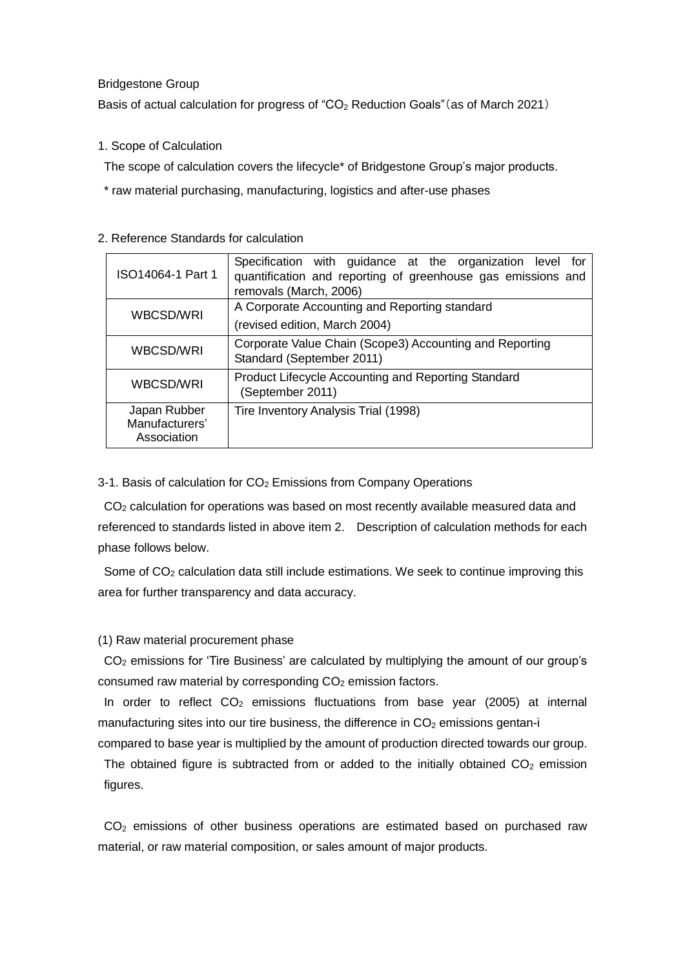### Bridgestone Group

Basis of actual calculation for progress of "CO<sub>2</sub> Reduction Goals" (as of March 2021)

## 1. Scope of Calculation

The scope of calculation covers the lifecycle\* of Bridgestone Group's major products.

\* raw material purchasing, manufacturing, logistics and after-use phases

| ISO14064-1 Part 1                             | Specification with guidance at the organization level for<br>quantification and reporting of greenhouse gas emissions and<br>removals (March, 2006) |  |
|-----------------------------------------------|-----------------------------------------------------------------------------------------------------------------------------------------------------|--|
| WBCSD/WRI                                     | A Corporate Accounting and Reporting standard<br>(revised edition, March 2004)                                                                      |  |
| WBCSD/WRI                                     | Corporate Value Chain (Scope3) Accounting and Reporting<br>Standard (September 2011)                                                                |  |
| WBCSD/WRI                                     | Product Lifecycle Accounting and Reporting Standard<br>(September 2011)                                                                             |  |
| Japan Rubber<br>Manufacturers'<br>Association | Tire Inventory Analysis Trial (1998)                                                                                                                |  |

## 2. Reference Standards for calculation

3-1. Basis of calculation for CO<sub>2</sub> Emissions from Company Operations

 $CO<sub>2</sub>$  calculation for operations was based on most recently available measured data and referenced to standards listed in above item 2. Description of calculation methods for each phase follows below.

Some of  $CO<sub>2</sub>$  calculation data still include estimations. We seek to continue improving this area for further transparency and data accuracy.

# (1) Raw material procurement phase

CO<sup>2</sup> emissions for 'Tire Business' are calculated by multiplying the amount of our group's consumed raw material by corresponding  $CO<sub>2</sub>$  emission factors.

In order to reflect  $CO<sub>2</sub>$  emissions fluctuations from base year (2005) at internal manufacturing sites into our tire business, the difference in  $CO<sub>2</sub>$  emissions gentan-i

compared to base year is multiplied by the amount of production directed towards our group. The obtained figure is subtracted from or added to the initially obtained  $CO<sub>2</sub>$  emission figures.

 $CO<sub>2</sub>$  emissions of other business operations are estimated based on purchased raw material, or raw material composition, or sales amount of major products.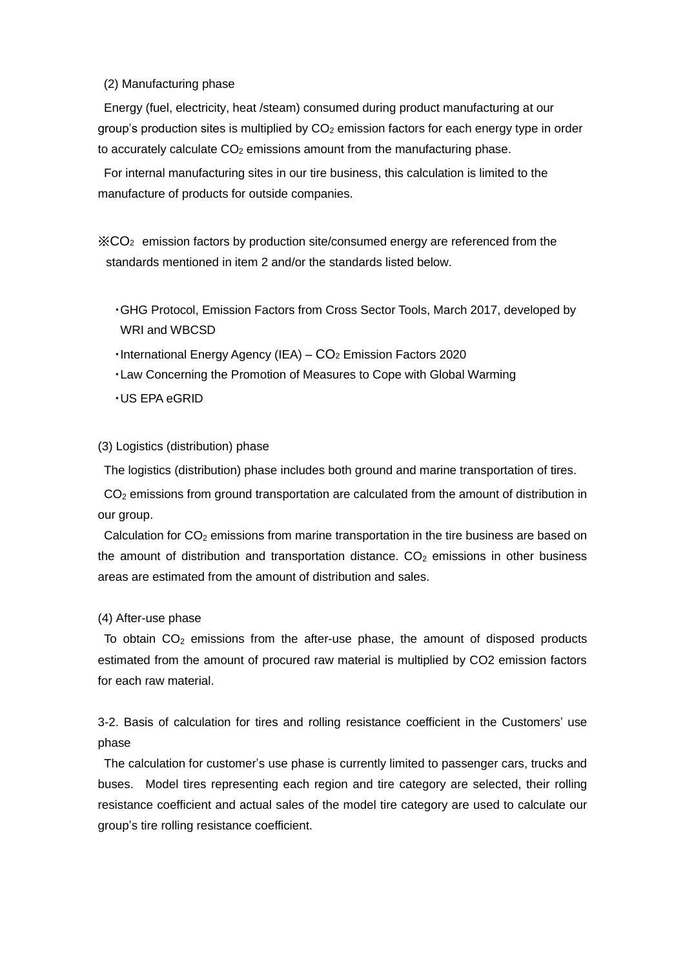#### (2) Manufacturing phase

Energy (fuel, electricity, heat /steam) consumed during product manufacturing at our group's production sites is multiplied by  $CO<sub>2</sub>$  emission factors for each energy type in order to accurately calculate  $CO<sub>2</sub>$  emissions amount from the manufacturing phase.

For internal manufacturing sites in our tire business, this calculation is limited to the manufacture of products for outside companies.

※CO2 emission factors by production site/consumed energy are referenced from the standards mentioned in item 2 and/or the standards listed below.

- ・GHG Protocol, Emission Factors from Cross Sector Tools, March 2017, developed by WRI and WBCSD
- ・International Energy Agency (IEA) CO<sup>2</sup> Emission Factors 2020
- ・Law Concerning the Promotion of Measures to Cope with Global Warming
- ・US EPA eGRID

## (3) Logistics (distribution) phase

The logistics (distribution) phase includes both ground and marine transportation of tires.

CO<sup>2</sup> emissions from ground transportation are calculated from the amount of distribution in our group.

Calculation for  $CO<sub>2</sub>$  emissions from marine transportation in the tire business are based on the amount of distribution and transportation distance.  $CO<sub>2</sub>$  emissions in other business areas are estimated from the amount of distribution and sales.

### (4) After-use phase

To obtain  $CO<sub>2</sub>$  emissions from the after-use phase, the amount of disposed products estimated from the amount of procured raw material is multiplied by CO2 emission factors for each raw material.

3-2. Basis of calculation for tires and rolling resistance coefficient in the Customers' use phase

The calculation for customer's use phase is currently limited to passenger cars, trucks and buses. Model tires representing each region and tire category are selected, their rolling resistance coefficient and actual sales of the model tire category are used to calculate our group's tire rolling resistance coefficient.